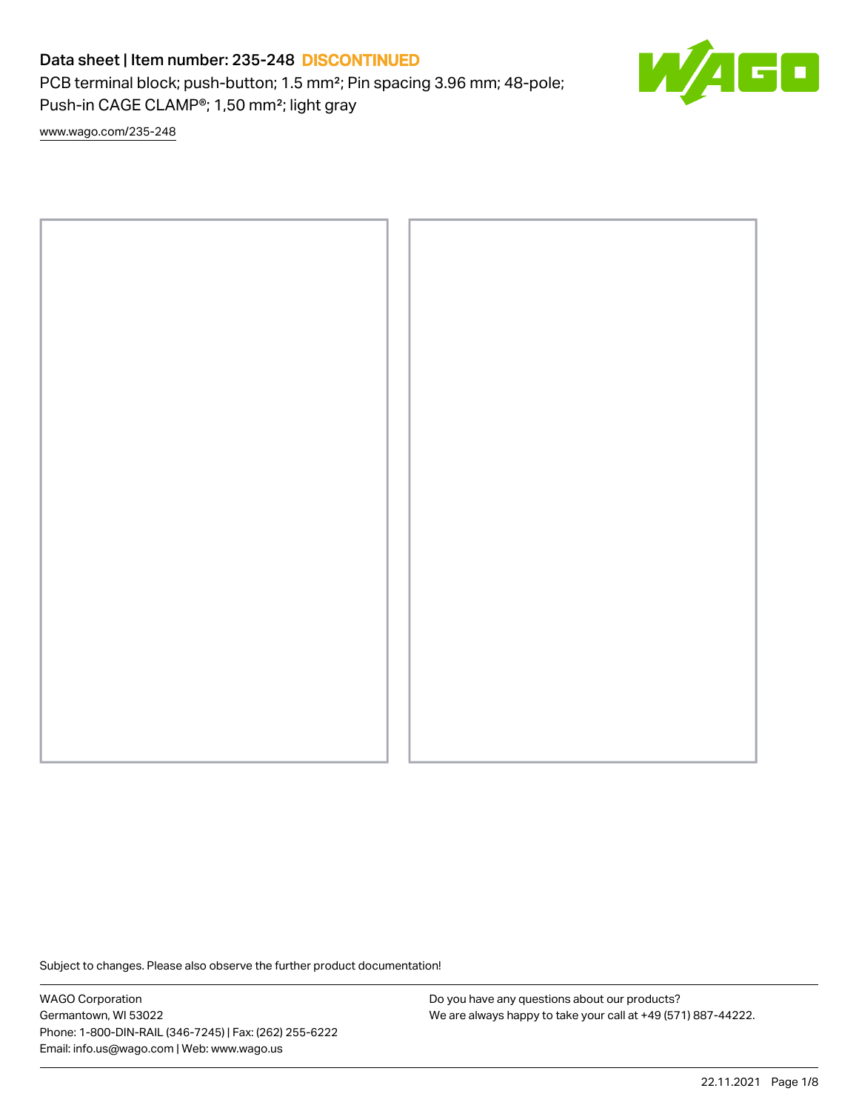PCB terminal block; push-button; 1.5 mm²; Pin spacing 3.96 mm; 48-pole; Push-in CAGE CLAMP®; 1,50 mm²; light gray



[www.wago.com/235-248](http://www.wago.com/235-248)



Subject to changes. Please also observe the further product documentation!

WAGO Corporation Germantown, WI 53022 Phone: 1-800-DIN-RAIL (346-7245) | Fax: (262) 255-6222 Email: info.us@wago.com | Web: www.wago.us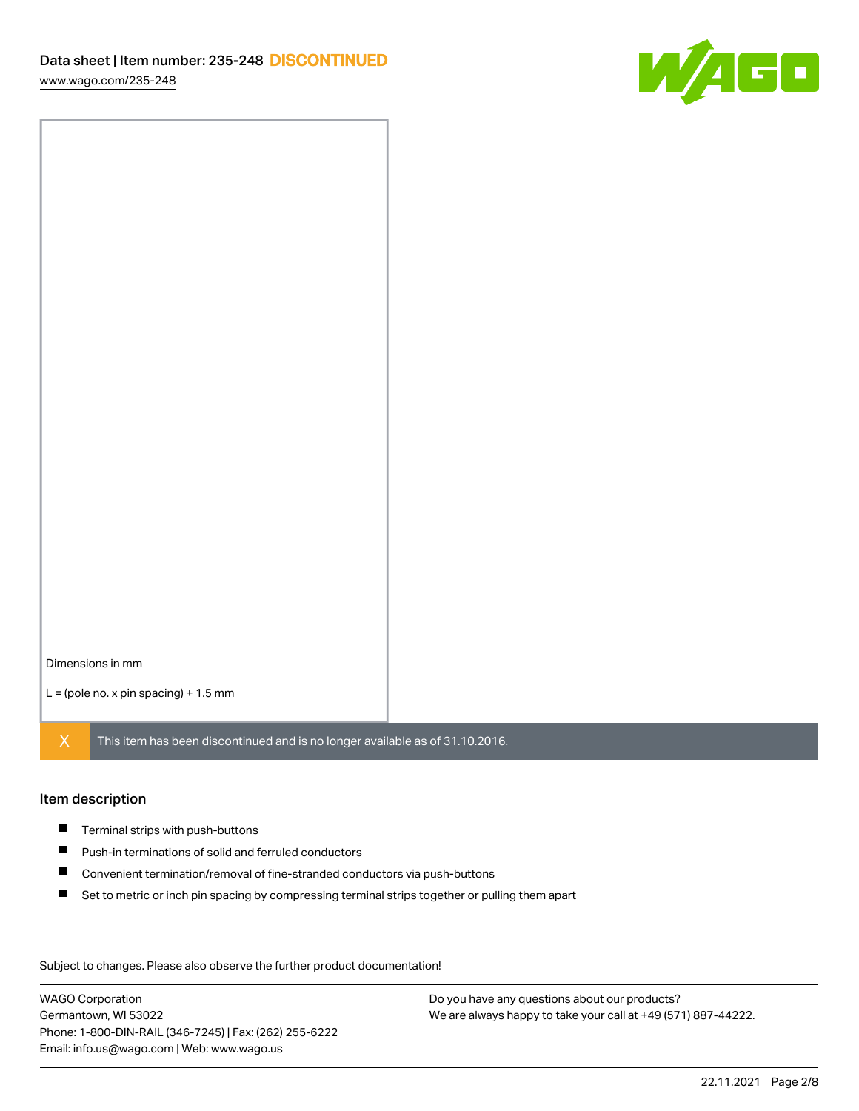[www.wago.com/235-248](http://www.wago.com/235-248)



Dimensions in mm

 $L =$  (pole no. x pin spacing) + 1.5 mm

 $X$  This item has been discontinued and is no longer available as of 31.10.2016.

#### Item description

- **Terminal strips with push-buttons**
- $\blacksquare$ Push-in terminations of solid and ferruled conductors
- $\blacksquare$ Convenient termination/removal of fine-stranded conductors via push-buttons
- $\blacksquare$ Set to metric or inch pin spacing by compressing terminal strips together or pulling them apart

Subject to changes. Please also observe the further product documentation! Data

WAGO Corporation Germantown, WI 53022 Phone: 1-800-DIN-RAIL (346-7245) | Fax: (262) 255-6222 Email: info.us@wago.com | Web: www.wago.us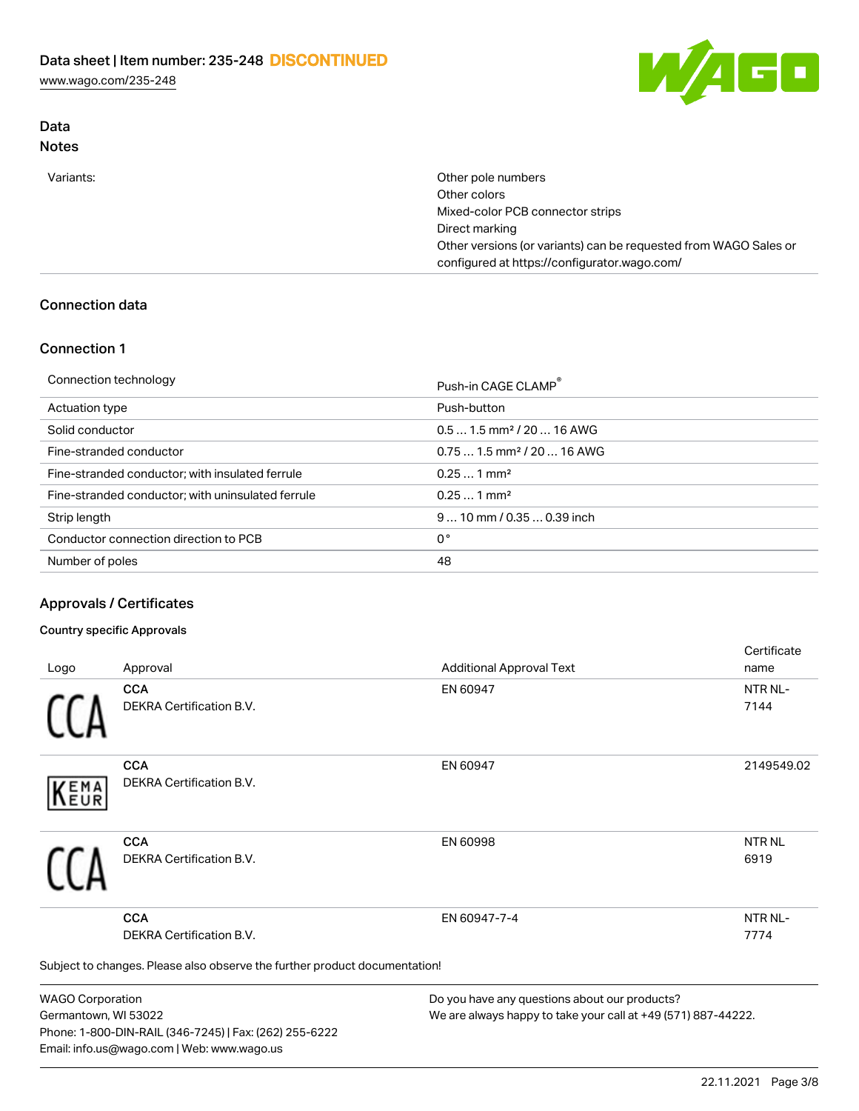[www.wago.com/235-248](http://www.wago.com/235-248)

### Data Notes



Variants: **Other pole numbers** Other colors Mixed-color PCB connector strips Direct marking Other versions (or variants) can be requested from WAGO Sales or configured at https://configurator.wago.com/

## Connection data

### Connection 1

| Connection technology                             | Push-in CAGE CLAMP®                    |
|---------------------------------------------------|----------------------------------------|
| Actuation type                                    | Push-button                            |
| Solid conductor                                   | $0.51.5$ mm <sup>2</sup> / 20  16 AWG  |
| Fine-stranded conductor                           | $0.751.5$ mm <sup>2</sup> / 20  16 AWG |
| Fine-stranded conductor; with insulated ferrule   | $0.251$ mm <sup>2</sup>                |
| Fine-stranded conductor; with uninsulated ferrule | $0.251$ mm <sup>2</sup>                |
| Strip length                                      | $910$ mm $/0.350.39$ inch              |
| Conductor connection direction to PCB             | 0°                                     |
| Number of poles                                   | 48                                     |

#### Approvals / Certificates

#### Country specific Approvals

| Logo                      | Approval                                                                   | <b>Additional Approval Text</b>                     | <b>Certificate</b><br>name |
|---------------------------|----------------------------------------------------------------------------|-----------------------------------------------------|----------------------------|
|                           | <b>CCA</b><br>DEKRA Certification B.V.                                     | EN 60947                                            | NTR NL-<br>7144            |
|                           |                                                                            |                                                     |                            |
|                           | <b>CCA</b>                                                                 | EN 60947                                            | 2149549.02                 |
| EMA<br>EUR                | DEKRA Certification B.V.                                                   |                                                     |                            |
|                           | <b>CCA</b>                                                                 | EN 60998                                            | <b>NTR NL</b>              |
|                           | DEKRA Certification B.V.                                                   |                                                     | 6919                       |
|                           | <b>CCA</b>                                                                 | EN 60947-7-4                                        | NTR NL-                    |
|                           | DEKRA Certification B.V.                                                   |                                                     | 7774                       |
|                           | Subject to changes. Please also observe the further product documentation! |                                                     |                            |
| $MLADO$ $O_{num}$ $H12.7$ |                                                                            | De usu kaus sau suraatis sa akaut suraasu staduste? |                            |

WAGO Corporation Germantown, WI 53022 Phone: 1-800-DIN-RAIL (346-7245) | Fax: (262) 255-6222 Email: info.us@wago.com | Web: www.wago.us

Do you have any questions about our products? We are always happy to take your call at +49 (571) 887-44222.

 $C = \frac{1}{2}$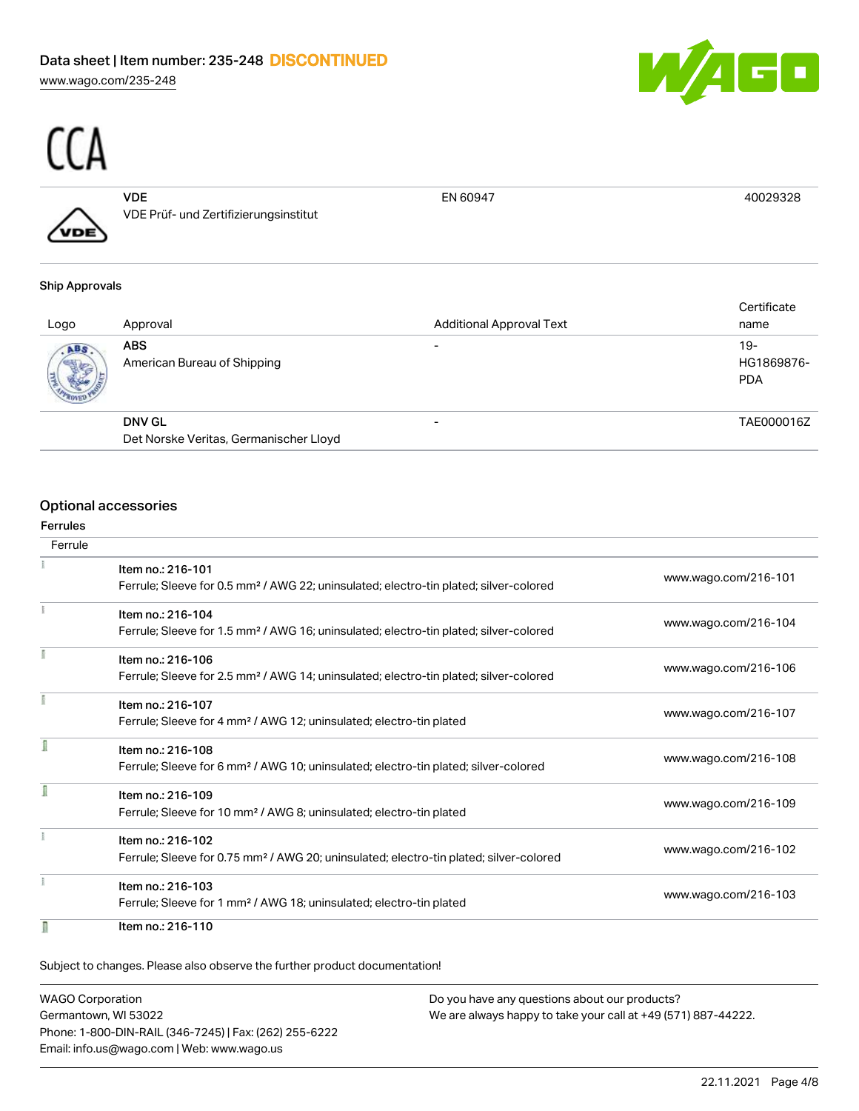[www.wago.com/235-248](http://www.wago.com/235-248)





VDE VDE Prüf- und Zertifizierungsinstitut EN 60947 40029328

#### Ship Approvals

| Logo | Approval                                  | <b>Additional Approval Text</b> | Certificate<br>name               |
|------|-------------------------------------------|---------------------------------|-----------------------------------|
| ABS. | <b>ABS</b><br>American Bureau of Shipping | $\overline{\phantom{0}}$        | $19-$<br>HG1869876-<br><b>PDA</b> |
|      | <b>DNV GL</b>                             | -                               | TAE000016Z                        |
|      | Det Norske Veritas, Germanischer Lloyd    |                                 |                                   |

#### Optional accessories

# Ferrules Ferrule Item no.: 216-101 Ferrule; Sleeve for 0.5 mm² / AWG 22; uninsulated; electro-tin plated; silver-colored [www.wago.com/216-101](http://www.wago.com/216-101) Item no.: 216-104 Ferrule; Sleeve for 1.5 mm² / AWG 16; uninsulated; electro-tin plated; silver-colored [www.wago.com/216-104](http://www.wago.com/216-104) Item no.: 216-106 Ferrule; Sleeve for 2.5 mm² / AWG 14; uninsulated; electro-tin plated; silver-colored [www.wago.com/216-106](http://www.wago.com/216-106) Item no.: 216-107 Ferrule; Sleeve for 4 mm² / AWG 12; uninsulated; electro-tin plated [www.wago.com/216-107](http://www.wago.com/216-107) f Item no.: 216-108 Ferrule; Sleeve for 6 mm² / AWG 10; uninsulated; electro-tin plated; silver-colored [www.wago.com/216-108](http://www.wago.com/216-108) f Item no.: 216-109 Ferrule; Sleeve for 10 mm² / AWG 8; uninsulated; electro-tin plated [www.wago.com/216-109](http://www.wago.com/216-109) Item no.: 216-102 Ferrule; Sleeve for 0.75 mm² / AWG 20; uninsulated; electro-tin plated; silver-colored [www.wago.com/216-102](http://www.wago.com/216-102) Item no.: 216-103 Ferrule; Sleeve for 1 mm² / AWG 18; uninsulated; electro-tin plated [www.wago.com/216-103](http://www.wago.com/216-103) n Item no.: 216-110

Subject to changes. Please also observe the further product documentation!

WAGO Corporation Germantown, WI 53022 Phone: 1-800-DIN-RAIL (346-7245) | Fax: (262) 255-6222 Email: info.us@wago.com | Web: www.wago.us Do you have any questions about our products? We are always happy to take your call at +49 (571) 887-44222.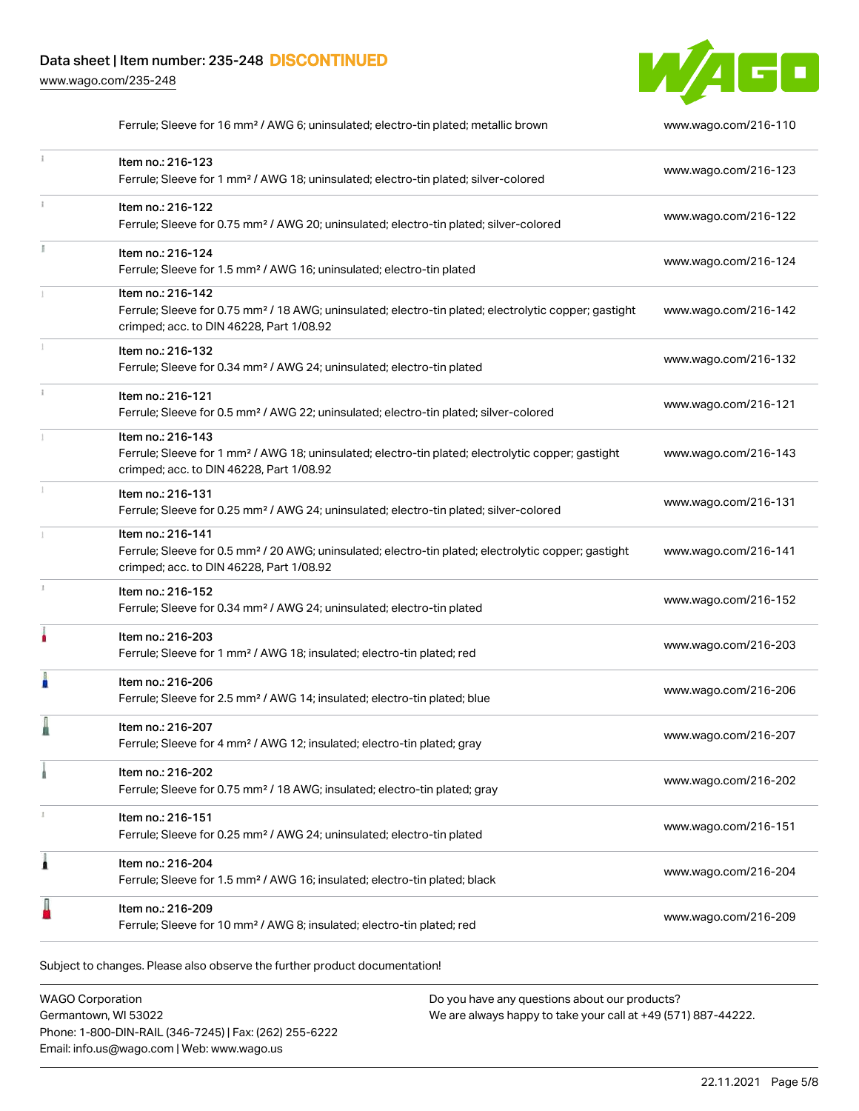[www.wago.com/235-248](http://www.wago.com/235-248)



|    | Ferrule; Sleeve for 16 mm <sup>2</sup> / AWG 6; uninsulated; electro-tin plated; metallic brown                                                                                    | www.wago.com/216-110 |
|----|------------------------------------------------------------------------------------------------------------------------------------------------------------------------------------|----------------------|
|    | Item no.: 216-123<br>Ferrule; Sleeve for 1 mm <sup>2</sup> / AWG 18; uninsulated; electro-tin plated; silver-colored                                                               | www.wago.com/216-123 |
|    | Item no.: 216-122<br>Ferrule; Sleeve for 0.75 mm <sup>2</sup> / AWG 20; uninsulated; electro-tin plated; silver-colored                                                            | www.wago.com/216-122 |
| I. | Item no.: 216-124<br>Ferrule; Sleeve for 1.5 mm <sup>2</sup> / AWG 16; uninsulated; electro-tin plated                                                                             | www.wago.com/216-124 |
|    | Item no.: 216-142<br>Ferrule; Sleeve for 0.75 mm <sup>2</sup> / 18 AWG; uninsulated; electro-tin plated; electrolytic copper; gastight<br>crimped; acc. to DIN 46228, Part 1/08.92 | www.wago.com/216-142 |
|    | Item no.: 216-132<br>Ferrule; Sleeve for 0.34 mm <sup>2</sup> / AWG 24; uninsulated; electro-tin plated                                                                            | www.wago.com/216-132 |
|    | Item no.: 216-121<br>Ferrule; Sleeve for 0.5 mm <sup>2</sup> / AWG 22; uninsulated; electro-tin plated; silver-colored                                                             | www.wago.com/216-121 |
|    | Item no.: 216-143<br>Ferrule; Sleeve for 1 mm <sup>2</sup> / AWG 18; uninsulated; electro-tin plated; electrolytic copper; gastight<br>crimped; acc. to DIN 46228, Part 1/08.92    | www.wago.com/216-143 |
|    | Item no.: 216-131<br>Ferrule; Sleeve for 0.25 mm <sup>2</sup> / AWG 24; uninsulated; electro-tin plated; silver-colored                                                            | www.wago.com/216-131 |
|    | Item no.: 216-141<br>Ferrule; Sleeve for 0.5 mm <sup>2</sup> / 20 AWG; uninsulated; electro-tin plated; electrolytic copper; gastight<br>crimped; acc. to DIN 46228, Part 1/08.92  | www.wago.com/216-141 |
|    | Item no.: 216-152<br>Ferrule; Sleeve for 0.34 mm <sup>2</sup> / AWG 24; uninsulated; electro-tin plated                                                                            | www.wago.com/216-152 |
| ۸  | Item no.: 216-203<br>Ferrule; Sleeve for 1 mm <sup>2</sup> / AWG 18; insulated; electro-tin plated; red                                                                            | www.wago.com/216-203 |
|    | Item no.: 216-206<br>Ferrule; Sleeve for 2.5 mm <sup>2</sup> / AWG 14; insulated; electro-tin plated; blue                                                                         | www.wago.com/216-206 |
|    | Item no.: 216-207<br>Ferrule; Sleeve for 4 mm <sup>2</sup> / AWG 12; insulated; electro-tin plated; gray                                                                           | www.wago.com/216-207 |
|    | Item no.: 216-202<br>Ferrule; Sleeve for 0.75 mm <sup>2</sup> / 18 AWG; insulated; electro-tin plated; gray                                                                        | www.wago.com/216-202 |
| x  | Item no.: 216-151<br>Ferrule; Sleeve for 0.25 mm <sup>2</sup> / AWG 24; uninsulated; electro-tin plated                                                                            | www.wago.com/216-151 |
| 1  | Item no.: 216-204<br>Ferrule; Sleeve for 1.5 mm <sup>2</sup> / AWG 16; insulated; electro-tin plated; black                                                                        | www.wago.com/216-204 |
|    | Item no.: 216-209<br>Ferrule; Sleeve for 10 mm <sup>2</sup> / AWG 8; insulated; electro-tin plated; red                                                                            | www.wago.com/216-209 |
|    |                                                                                                                                                                                    |                      |

Subject to changes. Please also observe the further product documentation!

WAGO Corporation Germantown, WI 53022 Phone: 1-800-DIN-RAIL (346-7245) | Fax: (262) 255-6222 Email: info.us@wago.com | Web: www.wago.us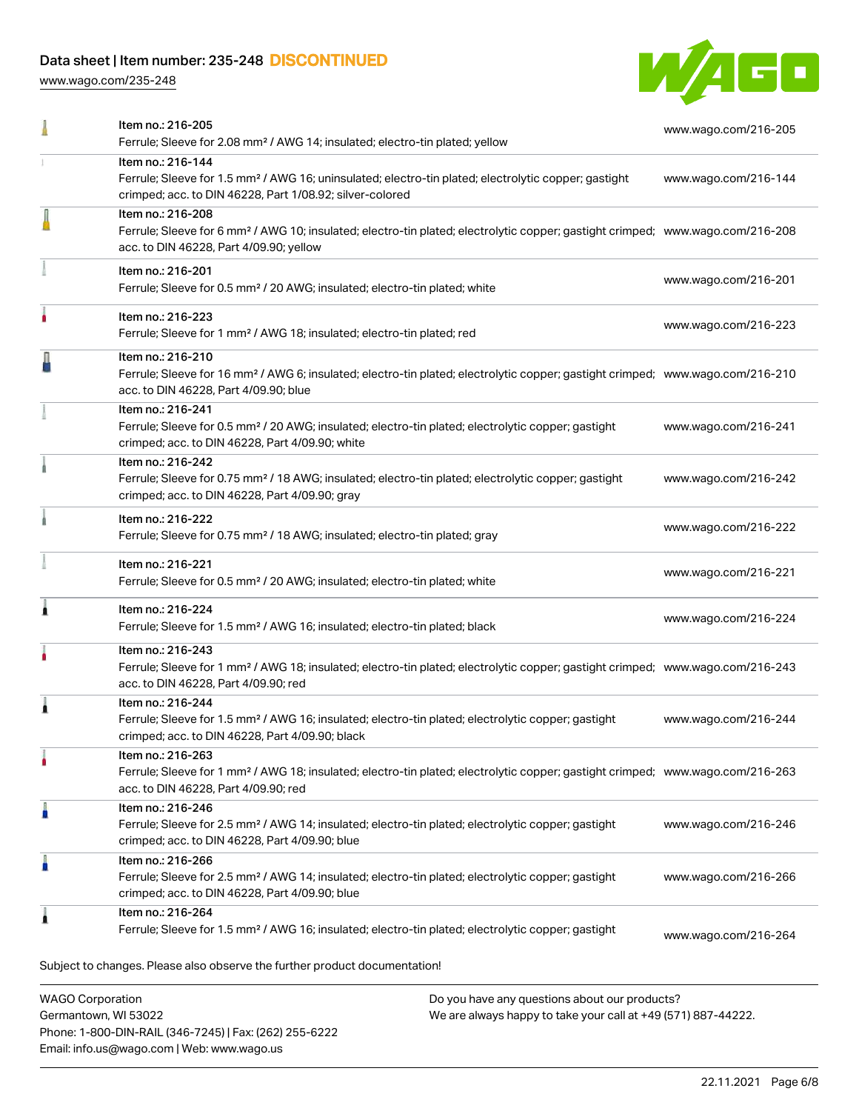Phone: 1-800-DIN-RAIL (346-7245) | Fax: (262) 255-6222

Email: info.us@wago.com | Web: www.wago.us

[www.wago.com/235-248](http://www.wago.com/235-248)



| Item no.: 216-205<br>Ferrule; Sleeve for 2.08 mm <sup>2</sup> / AWG 14; insulated; electro-tin plated; yellow                                                                                              |                                                                                                                | www.wago.com/216-205 |
|------------------------------------------------------------------------------------------------------------------------------------------------------------------------------------------------------------|----------------------------------------------------------------------------------------------------------------|----------------------|
| Item no.: 216-144<br>Ferrule; Sleeve for 1.5 mm <sup>2</sup> / AWG 16; uninsulated; electro-tin plated; electrolytic copper; gastight<br>crimped; acc. to DIN 46228, Part 1/08.92; silver-colored          |                                                                                                                | www.wago.com/216-144 |
| Item no.: 216-208<br>Ferrule; Sleeve for 6 mm <sup>2</sup> / AWG 10; insulated; electro-tin plated; electrolytic copper; gastight crimped; www.wago.com/216-208<br>acc. to DIN 46228, Part 4/09.90; yellow |                                                                                                                |                      |
| Item no.: 216-201<br>Ferrule; Sleeve for 0.5 mm <sup>2</sup> / 20 AWG; insulated; electro-tin plated; white                                                                                                |                                                                                                                | www.wago.com/216-201 |
| Item no.: 216-223<br>Ferrule; Sleeve for 1 mm <sup>2</sup> / AWG 18; insulated; electro-tin plated; red                                                                                                    |                                                                                                                | www.wago.com/216-223 |
| Item no.: 216-210<br>Ferrule; Sleeve for 16 mm <sup>2</sup> / AWG 6; insulated; electro-tin plated; electrolytic copper; gastight crimped; www.wago.com/216-210<br>acc. to DIN 46228, Part 4/09.90; blue   |                                                                                                                |                      |
| Item no.: 216-241<br>Ferrule; Sleeve for 0.5 mm <sup>2</sup> / 20 AWG; insulated; electro-tin plated; electrolytic copper; gastight<br>crimped; acc. to DIN 46228, Part 4/09.90; white                     |                                                                                                                | www.wago.com/216-241 |
| Item no.: 216-242<br>Ferrule; Sleeve for 0.75 mm <sup>2</sup> / 18 AWG; insulated; electro-tin plated; electrolytic copper; gastight<br>crimped; acc. to DIN 46228, Part 4/09.90; gray                     |                                                                                                                | www.wago.com/216-242 |
| Item no.: 216-222<br>Ferrule; Sleeve for 0.75 mm <sup>2</sup> / 18 AWG; insulated; electro-tin plated; gray                                                                                                |                                                                                                                | www.wago.com/216-222 |
| Item no.: 216-221<br>Ferrule; Sleeve for 0.5 mm <sup>2</sup> / 20 AWG; insulated; electro-tin plated; white                                                                                                |                                                                                                                | www.wago.com/216-221 |
| Item no.: 216-224<br>Ferrule; Sleeve for 1.5 mm <sup>2</sup> / AWG 16; insulated; electro-tin plated; black                                                                                                |                                                                                                                | www.wago.com/216-224 |
| Item no.: 216-243<br>Ferrule; Sleeve for 1 mm <sup>2</sup> / AWG 18; insulated; electro-tin plated; electrolytic copper; gastight crimped; www.wago.com/216-243<br>acc. to DIN 46228, Part 4/09.90; red    |                                                                                                                |                      |
| Item no.: 216-244<br>Ferrule; Sleeve for 1.5 mm <sup>2</sup> / AWG 16; insulated; electro-tin plated; electrolytic copper; gastight<br>crimped; acc. to DIN 46228, Part 4/09.90; black                     |                                                                                                                | www.wago.com/216-244 |
| Item no.: 216-263<br>Ferrule; Sleeve for 1 mm <sup>2</sup> / AWG 18; insulated; electro-tin plated; electrolytic copper; gastight crimped; www.wago.com/216-263<br>acc. to DIN 46228, Part 4/09.90; red    |                                                                                                                |                      |
| Item no.: 216-246<br>Ferrule; Sleeve for 2.5 mm <sup>2</sup> / AWG 14; insulated; electro-tin plated; electrolytic copper; gastight<br>crimped; acc. to DIN 46228, Part 4/09.90; blue                      |                                                                                                                | www.wago.com/216-246 |
| Item no.: 216-266<br>Ferrule; Sleeve for 2.5 mm <sup>2</sup> / AWG 14; insulated; electro-tin plated; electrolytic copper; gastight<br>crimped; acc. to DIN 46228, Part 4/09.90; blue                      |                                                                                                                | www.wago.com/216-266 |
| Item no.: 216-264<br>Ferrule; Sleeve for 1.5 mm <sup>2</sup> / AWG 16; insulated; electro-tin plated; electrolytic copper; gastight                                                                        |                                                                                                                | www.wago.com/216-264 |
| Subject to changes. Please also observe the further product documentation!                                                                                                                                 |                                                                                                                |                      |
| <b>WAGO Corporation</b><br>Germantown, WI 53022                                                                                                                                                            | Do you have any questions about our products?<br>We are always happy to take your call at +49 (571) 887-44222. |                      |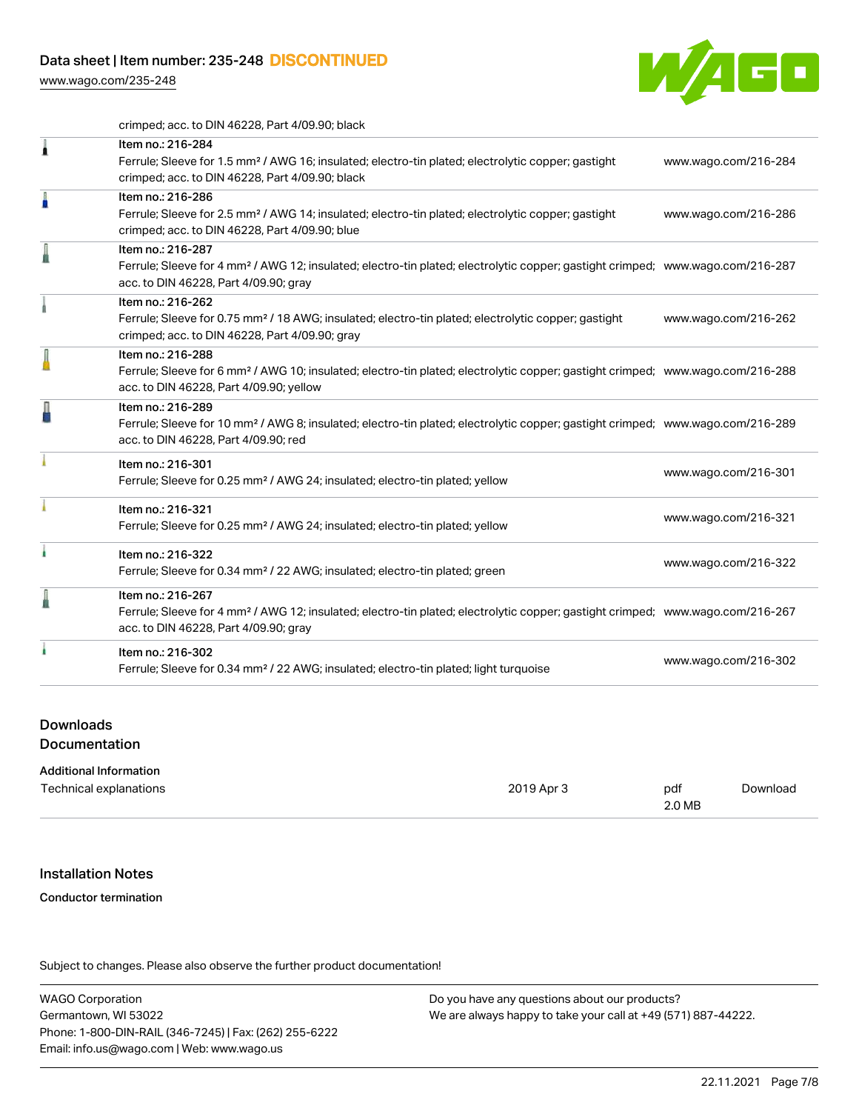[www.wago.com/235-248](http://www.wago.com/235-248)



crimped; acc. to DIN 46228, Part 4/09.90; black

|   | Item no.: 216-284<br>Ferrule; Sleeve for 1.5 mm <sup>2</sup> / AWG 16; insulated; electro-tin plated; electrolytic copper; gastight<br>crimped; acc. to DIN 46228, Part 4/09.90; black                     | www.wago.com/216-284 |
|---|------------------------------------------------------------------------------------------------------------------------------------------------------------------------------------------------------------|----------------------|
| A | Item no.: 216-286<br>Ferrule; Sleeve for 2.5 mm <sup>2</sup> / AWG 14; insulated; electro-tin plated; electrolytic copper; gastight<br>crimped; acc. to DIN 46228, Part 4/09.90; blue                      | www.wago.com/216-286 |
| l | Item no.: 216-287<br>Ferrule; Sleeve for 4 mm <sup>2</sup> / AWG 12; insulated; electro-tin plated; electrolytic copper; gastight crimped; www.wago.com/216-287<br>acc. to DIN 46228, Part 4/09.90; gray   |                      |
|   | Item no.: 216-262<br>Ferrule; Sleeve for 0.75 mm <sup>2</sup> / 18 AWG; insulated; electro-tin plated; electrolytic copper; gastight<br>crimped; acc. to DIN 46228, Part 4/09.90; gray                     | www.wago.com/216-262 |
|   | Item no.: 216-288<br>Ferrule; Sleeve for 6 mm <sup>2</sup> / AWG 10; insulated; electro-tin plated; electrolytic copper; gastight crimped; www.wago.com/216-288<br>acc. to DIN 46228, Part 4/09.90; yellow |                      |
| A | Item no.: 216-289<br>Ferrule; Sleeve for 10 mm <sup>2</sup> / AWG 8; insulated; electro-tin plated; electrolytic copper; gastight crimped; www.wago.com/216-289<br>acc. to DIN 46228, Part 4/09.90; red    |                      |
|   | Item no.: 216-301<br>Ferrule; Sleeve for 0.25 mm <sup>2</sup> / AWG 24; insulated; electro-tin plated; yellow                                                                                              | www.wago.com/216-301 |
|   | Item no.: 216-321<br>Ferrule; Sleeve for 0.25 mm <sup>2</sup> / AWG 24; insulated; electro-tin plated; yellow                                                                                              | www.wago.com/216-321 |
|   | Item no.: 216-322<br>Ferrule; Sleeve for 0.34 mm <sup>2</sup> / 22 AWG; insulated; electro-tin plated; green                                                                                               | www.wago.com/216-322 |
| I | Item no.: 216-267<br>Ferrule; Sleeve for 4 mm <sup>2</sup> / AWG 12; insulated; electro-tin plated; electrolytic copper; gastight crimped; www.wago.com/216-267<br>acc. to DIN 46228, Part 4/09.90; gray   |                      |
|   | Item no.: 216-302<br>Ferrule; Sleeve for 0.34 mm <sup>2</sup> / 22 AWG; insulated; electro-tin plated; light turquoise                                                                                     | www.wago.com/216-302 |

#### Downloads

**Documentation** 

#### Additional Information

| Technical explanations | 2019 Apr 3 | pdf<br>2.0 MB | Download |
|------------------------|------------|---------------|----------|
|------------------------|------------|---------------|----------|

### Installation Notes

#### Conductor termination

Subject to changes. Please also observe the further product documentation!

WAGO Corporation Germantown, WI 53022 Phone: 1-800-DIN-RAIL (346-7245) | Fax: (262) 255-6222 Email: info.us@wago.com | Web: www.wago.us